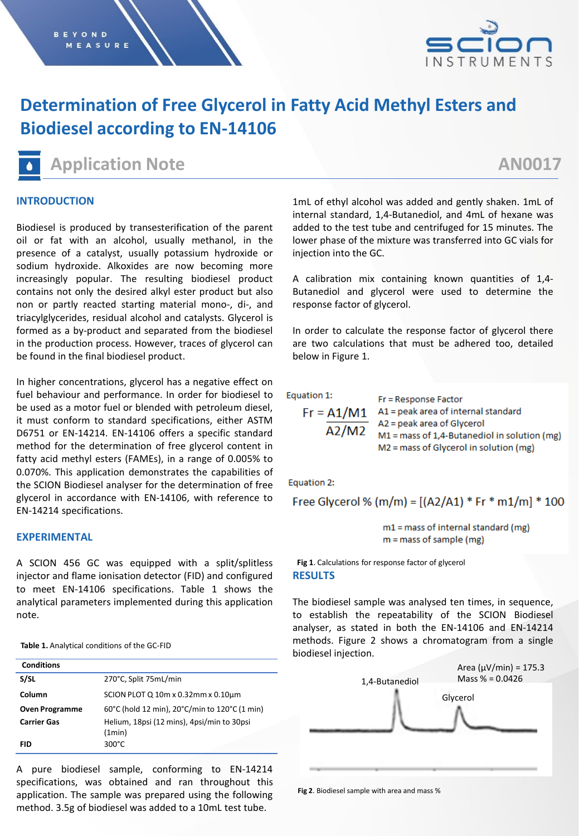

# **Determination of Free Glycerol in Fatty Acid Methyl Esters and Biodiesel according to EN-14106**

**Application Note AN0017**

### **INTRODUCTION**

Biodiesel is produced by transesterification of the parent oil or fat with an alcohol, usually methanol, in the presence of a catalyst, usually potassium hydroxide or sodium hydroxide. Alkoxides are now becoming more increasingly popular. The resulting biodiesel product contains not only the desired alkyl ester product but also non or partly reacted starting material mono-, di-, and triacylglycerides, residual alcohol and catalysts. Glycerol is formed as a by-product and separated from the biodiesel in the production process. However, traces of glycerol can be found in the final biodiesel product.

In higher concentrations, glycerol has a negative effect on fuel behaviour and performance. In order for biodiesel to be used as a motor fuel or blended with petroleum diesel, it must conform to standard specifications, either ASTM D6751 or EN-14214. EN-14106 offers a specific standard method for the determination of free glycerol content in fatty acid methyl esters (FAMEs), in a range of 0.005% to 0.070%. This application demonstrates the capabilities of the SCION Biodiesel analyser for the determination of free glycerol in accordance with EN-14106, with reference to EN-14214 specifications.

#### **EXPERIMENTAL**

A SCION 456 GC was equipped with a split/splitless injector and flame ionisation detector (FID) and configured to meet EN-14106 specifications. Table 1 shows the analytical parameters implemented during this application note.

**Table 1.** Analytical conditions of the GC-FID

| <b>Conditions</b>     |                                                      |
|-----------------------|------------------------------------------------------|
| S/SL                  | 270°C, Split 75mL/min                                |
| Column                | SCION PLOT Q 10m x 0.32mm x 0.10µm                   |
| <b>Oven Programme</b> | 60°C (hold 12 min), 20°C/min to 120°C (1 min)        |
| <b>Carrier Gas</b>    | Helium, 18psi (12 mins), 4psi/min to 30psi<br>(1min) |
| <b>FID</b>            | $300^{\circ}$ C                                      |

A pure biodiesel sample, conforming to EN-14214 specifications, was obtained and ran throughout this application. The sample was prepared using the following method. 3.5g of biodiesel was added to a 10mL test tube.

1mL of ethyl alcohol was added and gently shaken. 1mL of internal standard, 1,4-Butanediol, and 4mL of hexane was added to the test tube and centrifuged for 15 minutes. The lower phase of the mixture was transferred into GC vials for injection into the GC.

A calibration mix containing known quantities of 1,4- Butanediol and glycerol were used to determine the response factor of glycerol.

In order to calculate the response factor of glycerol there are two calculations that must be adhered too, detailed below in Figure 1.

Equation 1:

Fr = Response Factor  $Fr = A1/M1$  A1 = peak area of internal standard A2 = peak area of Glycerol  $A2/M2$  $M1 =$  mass of 1,4-Butanediol in solution (mg) M2 = mass of Glycerol in solution (mg)

Equation 2:

Free Glycerol % (m/m) =  $[(A2/A1) * Fr * m1/m] * 100$ 

 $m1$  = mass of internal standard (mg)  $m =$  mass of sample (mg)

**RESULTS Fig 1**. Calculations for response factor of glycerol

The biodiesel sample was analysed ten times, in sequence, to establish the repeatability of the SCION Biodiesel analyser, as stated in both the EN-14106 and EN-14214 methods. Figure 2 shows a chromatogram from a single biodiesel injection.



**Fig 2**. Biodiesel sample with area and mass %